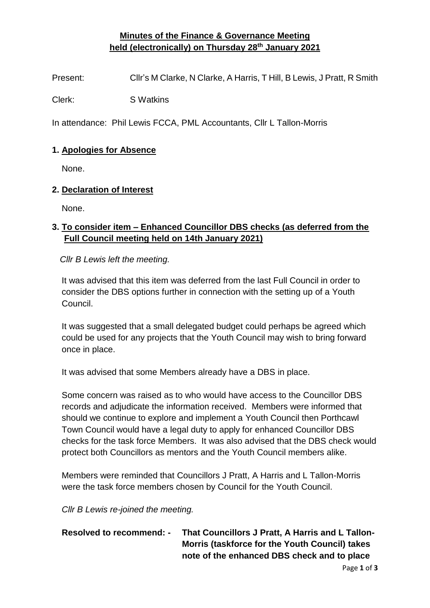## **Minutes of the Finance & Governance Meeting held (electronically) on Thursday 28th January 2021**

Present: Cllr's M Clarke, N Clarke, A Harris, T Hill, B Lewis, J Pratt, R Smith

Clerk: S Watkins

In attendance: Phil Lewis FCCA, PML Accountants, Cllr L Tallon-Morris

#### **1. Apologies for Absence**

None.

#### **2. Declaration of Interest**

None.

## **3. To consider item – Enhanced Councillor DBS checks (as deferred from the Full Council meeting held on 14th January 2021)**

*Cllr B Lewis left the meeting.*

It was advised that this item was deferred from the last Full Council in order to consider the DBS options further in connection with the setting up of a Youth Council.

It was suggested that a small delegated budget could perhaps be agreed which could be used for any projects that the Youth Council may wish to bring forward once in place.

It was advised that some Members already have a DBS in place.

Some concern was raised as to who would have access to the Councillor DBS records and adjudicate the information received. Members were informed that should we continue to explore and implement a Youth Council then Porthcawl Town Council would have a legal duty to apply for enhanced Councillor DBS checks for the task force Members. It was also advised that the DBS check would protect both Councillors as mentors and the Youth Council members alike.

Members were reminded that Councillors J Pratt, A Harris and L Tallon-Morris were the task force members chosen by Council for the Youth Council.

*Cllr B Lewis re-joined the meeting.*

# **Resolved to recommend: - That Councillors J Pratt, A Harris and L Tallon-Morris (taskforce for the Youth Council) takes note of the enhanced DBS check and to place**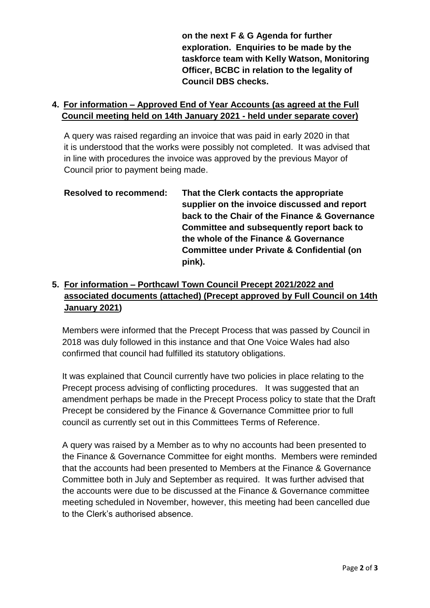**on the next F & G Agenda for further exploration. Enquiries to be made by the taskforce team with Kelly Watson, Monitoring Officer, BCBC in relation to the legality of Council DBS checks.**

### **4. For information – Approved End of Year Accounts (as agreed at the Full Council meeting held on 14th January 2021 - held under separate cover)**

A query was raised regarding an invoice that was paid in early 2020 in that it is understood that the works were possibly not completed. It was advised that in line with procedures the invoice was approved by the previous Mayor of Council prior to payment being made.

**Resolved to recommend: That the Clerk contacts the appropriate supplier on the invoice discussed and report back to the Chair of the Finance & Governance Committee and subsequently report back to the whole of the Finance & Governance Committee under Private & Confidential (on pink).**

# **5. For information – Porthcawl Town Council Precept 2021/2022 and associated documents (attached) (Precept approved by Full Council on 14th January 2021)**

Members were informed that the Precept Process that was passed by Council in 2018 was duly followed in this instance and that One Voice Wales had also confirmed that council had fulfilled its statutory obligations.

It was explained that Council currently have two policies in place relating to the Precept process advising of conflicting procedures. It was suggested that an amendment perhaps be made in the Precept Process policy to state that the Draft Precept be considered by the Finance & Governance Committee prior to full council as currently set out in this Committees Terms of Reference.

A query was raised by a Member as to why no accounts had been presented to the Finance & Governance Committee for eight months. Members were reminded that the accounts had been presented to Members at the Finance & Governance Committee both in July and September as required. It was further advised that the accounts were due to be discussed at the Finance & Governance committee meeting scheduled in November, however, this meeting had been cancelled due to the Clerk's authorised absence.